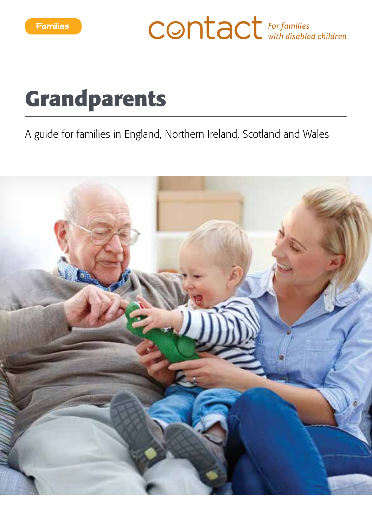**CONTACT** For families

# **Grandparents**

A guide for families in England, Northern Ireland, Scotland and Wales

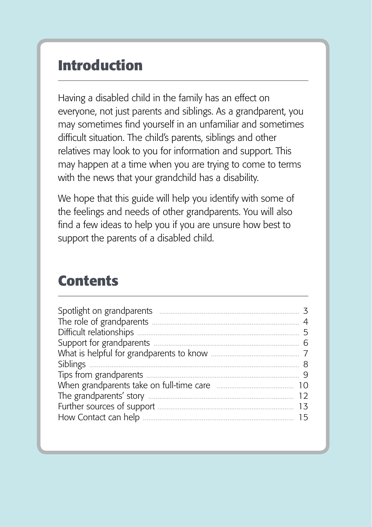### **Introduction**

Having a disabled child in the family has an effect on everyone, not just parents and siblings. As a grandparent, you may sometimes find yourself in an unfamiliar and sometimes difficult situation. The child's parents, siblings and other relatives may look to you for information and support. This may happen at a time when you are trying to come to terms with the news that your grandchild has a disability.

We hope that this guide will help you identify with some of the feelings and needs of other grandparents. You will also find a few ideas to help you if you are unsure how best to support the parents of a disabled child.

### **Contents**

| Spotlight on grandparents<br>The role of grandparents<br>Difficult relationships<br>5<br>Support for grandparents<br>Siblings<br>Tips from grandparents<br>When grandparents take on full-time care<br>10<br>The grandparents' story<br>Further sources of support<br>How Contact can help<br>$\overline{a}$ |  |
|--------------------------------------------------------------------------------------------------------------------------------------------------------------------------------------------------------------------------------------------------------------------------------------------------------------|--|
|--------------------------------------------------------------------------------------------------------------------------------------------------------------------------------------------------------------------------------------------------------------------------------------------------------------|--|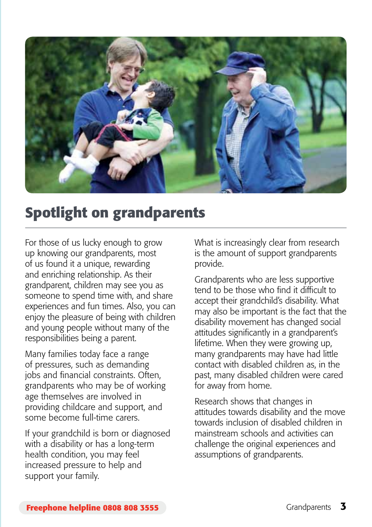

### **Spotlight on grandparents**

For those of us lucky enough to grow up knowing our grandparents, most of us found it a unique, rewarding and enriching relationship. As their grandparent, children may see you as someone to spend time with, and share experiences and fun times. Also, you can enjoy the pleasure of being with children and young people without many of the responsibilities being a parent.

Many families today face a range of pressures, such as demanding jobs and financial constraints. Often, grandparents who may be of working age themselves are involved in providing childcare and support, and some become full-time carers.

If your grandchild is born or diagnosed with a disability or has a long-term health condition, you may feel increased pressure to help and support your family.

What is increasingly clear from research is the amount of support grandparents provide.

Grandparents who are less supportive tend to be those who find it difficult to accept their grandchild's disability. What may also be important is the fact that the disability movement has changed social attitudes significantly in a grandparent's lifetime. When they were growing up, many grandparents may have had little contact with disabled children as, in the past, many disabled children were cared for away from home.

Research shows that changes in attitudes towards disability and the move towards inclusion of disabled children in mainstream schools and activities can challenge the original experiences and assumptions of grandparents.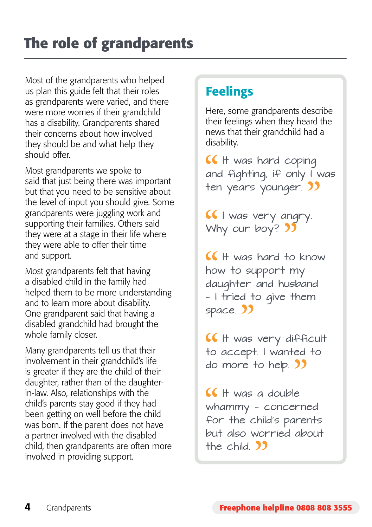Most of the grandparents who helped us plan this guide felt that their roles as grandparents were varied, and there were more worries if their grandchild has a disability. Grandparents shared their concerns about how involved they should be and what help they should offer.

Most grandparents we spoke to said that just being there was important but that you need to be sensitive about the level of input you should give. Some grandparents were juggling work and supporting their families. Others said they were at a stage in their life where they were able to offer their time and support.

Most grandparents felt that having a disabled child in the family had helped them to be more understanding and to learn more about disability. One grandparent said that having a disabled grandchild had brought the whole family closer.

Many grandparents tell us that their involvement in their grandchild's life is greater if they are the child of their daughter, rather than of the daughterin-law. Also, relationships with the child's parents stay good if they had been getting on well before the child was born. If the parent does not have a partner involved with the disabled child, then grandparents are often more involved in providing support.

### **Feelings**

Here, some grandparents describe their feelings when they heard the news that their grandchild had a disability.

**If** It was hard coping and fighting, if only I was ten years younger. **)** 

**I** I was very angry. Why our boy? 35

 $If$  H was hard to know how to support my daughter and husband — I tried to give them space. 33

**If** It was very difficult to accept. I wanted to do more to help. **33** 

 $If$   $\forall$  H was a double whammy — concerned for the child's parents but also worried about the child. **33**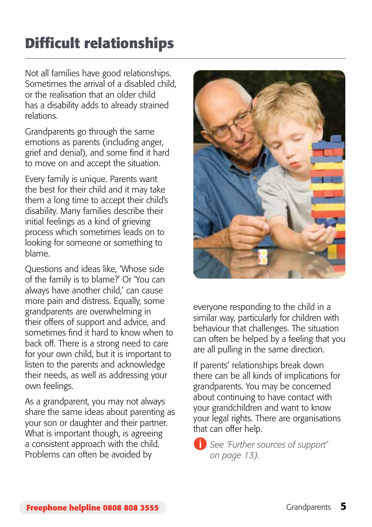# **Difficult relationships**

Not all families have good relationships. Sometimes the arrival of a disabled child, or the realisation that an older child has a disability adds to already strained relations.

Grandparents go through the same emotions as parents (including anger, grief and denial), and some find it hard to move on and accept the situation.

Every family is unique. Parents want the best for their child and it may take them a long time to accept their child's disability. Many families describe their initial feelings as a kind of grieving process which sometimes leads on to looking for someone or something to blame.

Questions and ideas like, 'Whose side of the family is to blame?' Or 'You can always have another child,' can cause more pain and distress. Equally, some grandparents are overwhelming in their offers of support and advice, and sometimes find it hard to know when to back off. There is a strong need to care for your own child, but it is important to listen to the parents and acknowledge their needs, as well as addressing your own feelings.

As a grandparent, you may not always share the same ideas about parenting as your son or daughter and their partner. What is important though, is agreeing a consistent approach with the child. Problems can often be avoided by



everyone responding to the child in a similar way, particularly for children with behaviour that challenges. The situation can often be helped by a feeling that you are all pulling in the same direction.

If parents' relationships break down there can be all kinds of implications for grandparents. You may be concerned about continuing to have contact with your grandchildren and want to know your legal rights. There are organisations that can offer help.

 *See 'Further sources of support' on page 13).*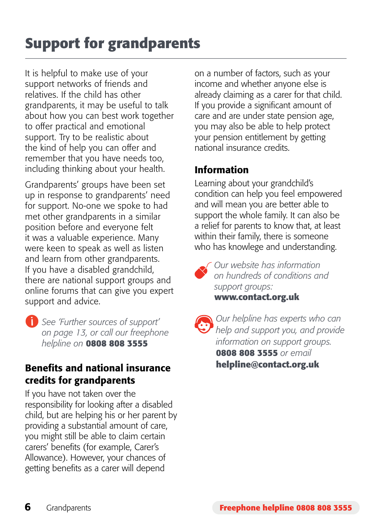# **Support for grandparents**

It is helpful to make use of your support networks of friends and relatives. If the child has other grandparents, it may be useful to talk about how you can best work together to offer practical and emotional support. Try to be realistic about the kind of help you can offer and remember that you have needs too, including thinking about your health.

Grandparents' groups have been set up in response to grandparents' need for support. No-one we spoke to had met other grandparents in a similar position before and everyone felt it was a valuable experience. Many were keen to speak as well as listen and learn from other grandparents. If you have a disabled grandchild, there are national support groups and online forums that can give you expert support and advice.

 *See 'Further sources of support' on page 13, or call our freephone helpline on* **0808 808 3555**

#### Benefits and national insurance credits for grandparents

If you have not taken over the responsibility for looking after a disabled child, but are helping his or her parent by providing a substantial amount of care, you might still be able to claim certain carers' benefits (for example, Carer's Allowance). However, your chances of getting benefits as a carer will depend

on a number of factors, such as your income and whether anyone else is already claiming as a carer for that child. If you provide a significant amount of care and are under state pension age, you may also be able to help protect your pension entitlement by getting national insurance credits.

#### Information

Learning about your grandchild's condition can help you feel empowered and will mean you are better able to support the whole family. It can also be a relief for parents to know that, at least within their family, there is someone who has knowlege and understanding.



*Our website has information on hundreds of conditions and support groups:*  **www.contact.org.uk**

*Our helpline has experts who can help and support you, and provide information on support groups.*  **0808 808 3555** *or email*  **helpline@contact.org.uk**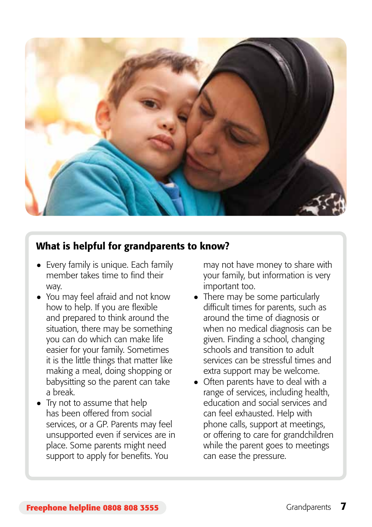

#### What is helpful for grandparents to know?

- Every family is unique. Each family member takes time to find their way.
- You may feel afraid and not know how to help. If you are flexible and prepared to think around the situation, there may be something you can do which can make life easier for your family. Sometimes it is the little things that matter like making a meal, doing shopping or babysitting so the parent can take a break.
- Try not to assume that help has been offered from social services, or a GP. Parents may feel unsupported even if services are in place. Some parents might need support to apply for benefits. You

may not have money to share with your family, but information is very important too.

- There may be some particularly difficult times for parents, such as around the time of diagnosis or when no medical diagnosis can be given. Finding a school, changing schools and transition to adult services can be stressful times and extra support may be welcome.
- Often parents have to deal with a range of services, including health, education and social services and can feel exhausted. Help with phone calls, support at meetings, or offering to care for grandchildren while the parent goes to meetings can ease the pressure.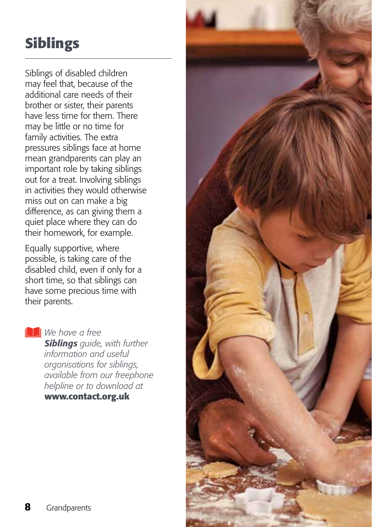# **Siblings**

Siblings of disabled children may feel that, because of the additional care needs of their brother or sister, their parents have less time for them. There may be little or no time for family activities. The extra pressures siblings face at home mean grandparents can play an important role by taking siblings out for a treat. Involving siblings in activities they would otherwise miss out on can make a big difference, as can giving them a quiet place where they can do their homework, for example.

Equally supportive, where possible, is taking care of the disabled child, even if only for a short time, so that siblings can have some precious time with their parents.

*We have a free* 

*Siblings guide, with further information and useful organisations for siblings, available from our freephone helpline or to download at*  **www.contact.org.uk**

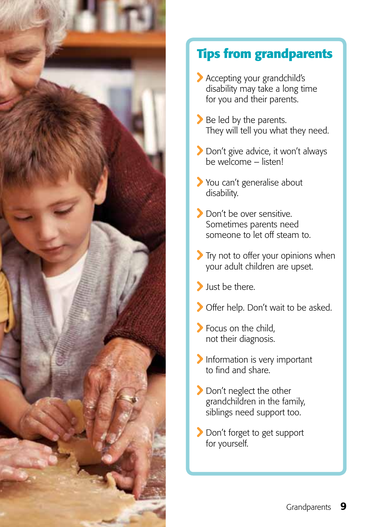

### **Tips from grandparents**

- Accepting your grandchild's disability may take a long time for you and their parents.
- Be led by the parents. They will tell you what they need.
- Don't give advice, it won't always be welcome – listen!
- You can't generalise about disability.
- Don't be over sensitive Sometimes parents need someone to let off steam to.
- Try not to offer your opinions when your adult children are upset.
- Just be there.
- Offer help. Don't wait to be asked.
- Focus on the child. not their diagnosis.
- Information is very important to find and share.
- Don't neglect the other grandchildren in the family, siblings need support too.
- Don't forget to get support for yourself.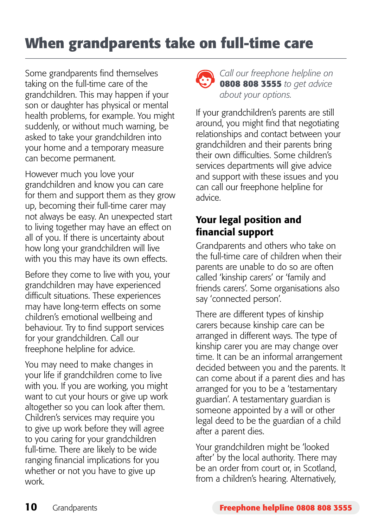## **When grandparents take on full-time care**

Some grandparents find themselves taking on the full-time care of the grandchildren. This may happen if your son or daughter has physical or mental health problems, for example. You might suddenly, or without much warning, be asked to take your grandchildren into your home and a temporary measure can become permanent.

However much you love your grandchildren and know you can care for them and support them as they grow up, becoming their full-time carer may not always be easy. An unexpected start to living together may have an effect on all of you. If there is uncertainty about how long your grandchildren will live with you this may have its own effects.

Before they come to live with you, your grandchildren may have experienced difficult situations. These experiences may have long-term effects on some children's emotional wellbeing and behaviour. Try to find support services for your grandchildren. Call our freephone helpline for advice.

You may need to make changes in your life if grandchildren come to live with you. If you are working, you might want to cut your hours or give up work altogether so you can look after them. Children's services may require you to give up work before they will agree to you caring for your grandchildren full-time. There are likely to be wide ranging financial implications for you whether or not you have to give up work.



*Call our freephone helpline on*  **0808 808 3555** *to get advice about your options.* 

If your grandchildren's parents are still around, you might find that negotiating relationships and contact between your grandchildren and their parents bring their own difficulties. Some children's services departments will give advice and support with these issues and you can call our freephone helpline for advice.

#### Your legal position and financial support

Grandparents and others who take on the full-time care of children when their parents are unable to do so are often called 'kinship carers' or 'family and friends carers'. Some organisations also say 'connected person'.

There are different types of kinship carers because kinship care can be arranged in different ways. The type of kinship carer you are may change over time. It can be an informal arrangement decided between you and the parents. It can come about if a parent dies and has arranged for you to be a 'testamentary guardian'. A testamentary guardian is someone appointed by a will or other legal deed to be the guardian of a child after a parent dies.

Your grandchildren might be 'looked after' by the local authority. There may be an order from court or, in Scotland, from a children's hearing. Alternatively,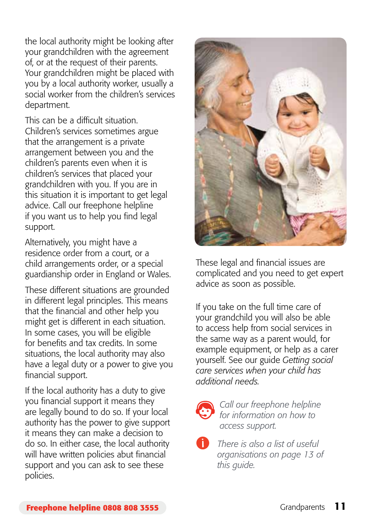the local authority might be looking after your grandchildren with the agreement of, or at the request of their parents. Your grandchildren might be placed with you by a local authority worker, usually a social worker from the children's services department.

This can be a difficult situation. Children's services sometimes argue that the arrangement is a private arrangement between you and the children's parents even when it is children's services that placed your grandchildren with you. If you are in this situation it is important to get legal advice. Call our freephone helpline if you want us to help you find legal support.

Alternatively, you might have a residence order from a court, or a child arrangements order, or a special guardianship order in England or Wales.

These different situations are grounded in different legal principles. This means that the financial and other help you might get is different in each situation. In some cases, you will be eligible for benefits and tax credits. In some situations, the local authority may also have a legal duty or a power to give you financial support.

If the local authority has a duty to give you financial support it means they are legally bound to do so. If your local authority has the power to give support it means they can make a decision to do so. In either case, the local authority will have written policies abut financial support and you can ask to see these policies.



These legal and financial issues are complicated and you need to get expert advice as soon as possible.

If you take on the full time care of your grandchild you will also be able to access help from social services in the same way as a parent would, for example equipment, or help as a carer yourself. See our guide *Getting social care services when your child has additional needs.*



*Call our freephone helpline for information on how to access support.*

 *There is also a list of useful organisations on page 13 of this guide.*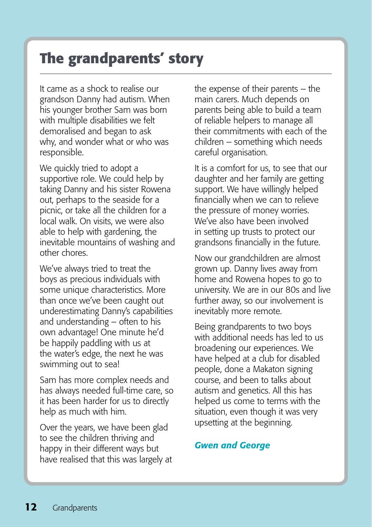### **The grandparents' story**

It came as a shock to realise our grandson Danny had autism. When his younger brother Sam was born with multiple disabilities we felt demoralised and began to ask why, and wonder what or who was responsible.

We quickly tried to adopt a supportive role. We could help by taking Danny and his sister Rowena out, perhaps to the seaside for a picnic, or take all the children for a local walk. On visits, we were also able to help with gardening, the inevitable mountains of washing and other chores.

We've always tried to treat the boys as precious individuals with some unique characteristics. More than once we've been caught out underestimating Danny's capabilities and understanding – often to his own advantage! One minute he'd be happily paddling with us at the water's edge, the next he was swimming out to sea!

Sam has more complex needs and has always needed full-time care, so it has been harder for us to directly help as much with him.

Over the years, we have been glad to see the children thriving and happy in their different ways but have realised that this was largely at the expense of their parents – the main carers. Much depends on parents being able to build a team of reliable helpers to manage all their commitments with each of the children – something which needs careful organisation.

It is a comfort for us, to see that our daughter and her family are getting support. We have willingly helped financially when we can to relieve the pressure of money worries. We've also have been involved in setting up trusts to protect our grandsons financially in the future.

Now our grandchildren are almost grown up. Danny lives away from home and Rowena hopes to go to university. We are in our 80s and live further away, so our involvement is inevitably more remote.

Being grandparents to two boys with additional needs has led to us broadening our experiences. We have helped at a club for disabled people, done a Makaton signing course, and been to talks about autism and genetics. All this has helped us come to terms with the situation, even though it was very upsetting at the beginning.

#### *Gwen and George*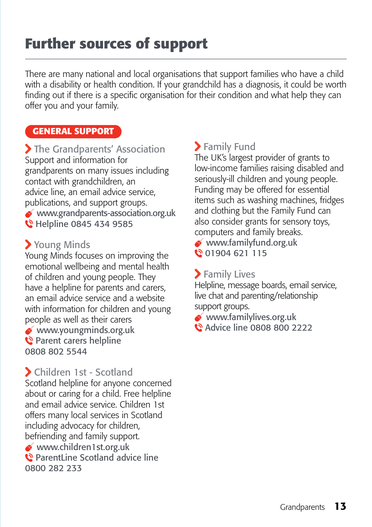## **Further sources of support**

There are many national and local organisations that support families who have a child with a disability or health condition. If your grandchild has a diagnosis, it could be worth finding out if there is a specific organisation for their condition and what help they can offer you and your family.

#### **General support**

> The Grandparents' Association Support and information for grandparents on many issues including contact with grandchildren, an advice line, an email advice service, publications, and support groups. www.grandparents-association.org.uk C Helpline 0845 434 9585

#### Young Minds

Young Minds focuses on improving the emotional wellbeing and mental health of children and young people. They have a helpline for parents and carers, an email advice service and a website with information for children and young people as well as their carers www.youngminds.org.uk Parent carers helpline 0808 802 5544

#### Children 1st - Scotland

Scotland helpline for anyone concerned about or caring for a child. Free helpline and email advice service. Children 1st offers many local services in Scotland including advocacy for children, befriending and family support.

- www.children1st.org.uk
- ParentLine Scotland advice line 0800 282 233

#### Family Fund

The UK's largest provider of grants to low-income families raising disabled and seriously-ill children and young people. Funding may be offered for essential items such as washing machines, fridges and clothing but the Family Fund can also consider grants for sensory toys, computers and family breaks.

 www.familyfund.org.uk 01904 621 115

#### **>** Family Lives

Helpline, message boards, email service, live chat and parenting/relationship support groups.

www.familylives.org.uk

Advice line 0808 800 2222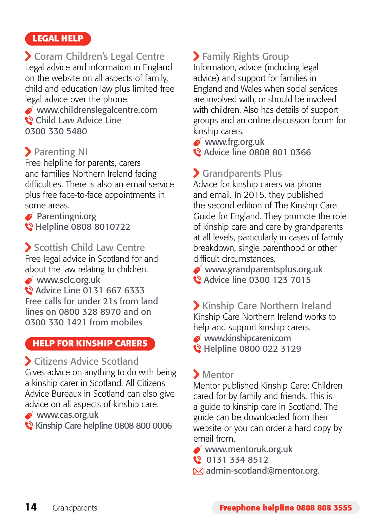#### **Legal help**

 Coram Children's Legal Centre Legal advice and information in England on the website on all aspects of family, child and education law plus limited free legal advice over the phone.

 www.childrenslegalcentre.com Child Law Advice Line 0300 330 5480

#### **Parenting NI**

Free helpline for parents, carers and families Northern Ireland facing difficulties. There is also an email service plus free face-to-face appointments in some areas.

**Parentingni.org C** Helpline 0808 8010722

Scottish Child Law Centre Free legal advice in Scotland for and about the law relating to children. www.sclc.org.uk Advice Line 0131 667 6333 Free calls for under 21s from land lines on 0800 328 8970 and on 0300 330 1421 from mobiles

#### **Help for kinship carers**

#### Citizens Advice Scotland

Gives advice on anything to do with being a kinship carer in Scotland. All Citizens Advice Bureaux in Scotland can also give advice on all aspects of kinship care.

www.cas.org.uk

Kinship Care helpline 0808 800 0006

#### Family Rights Group

Information, advice (including legal advice) and support for families in England and Wales when social services are involved with, or should be involved with children. Also has details of support groups and an online discussion forum for kinship carers.

www.frg.org.uk

**Q** Advice line 0808 801 0366

### Grandparents Plus

Advice for kinship carers via phone and email. In 2015, they published the second edition of The Kinship Care Guide for England. They promote the role of kinship care and care by grandparents at all levels, particularly in cases of family breakdown, single parenthood or other difficult circumstances.

 www.grandparentsplus.org.uk Advice line 0300 123 7015

 Kinship Care Northern Ireland Kinship Care Northern Ireland works to help and support kinship carers. www.kinshipcareni.com

Helpline 0800 022 3129

#### Mentor

Mentor published Kinship Care: Children cared for by family and friends. This is a guide to kinship care in Scotland. The guide can be downloaded from their website or you can order a hard copy by email from.

www.mentoruk.org.uk

 $\bullet$  0131 334 8512

 $\boxtimes$  admin-scotland@mentor.org.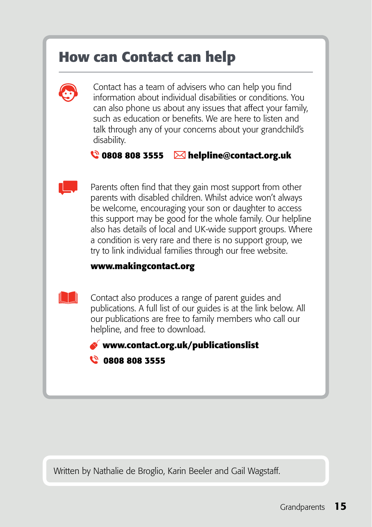### **How can Contact can help**



Contact has a team of advisers who can help you find information about individual disabilities or conditions. You can also phone us about any issues that affect your family, such as education or benefits. We are here to listen and talk through any of your concerns about your grandchild's disability.

#### **0808 808 3555 helpline@contact.org.uk**

 Parents often find that they gain most support from other parents with disabled children. Whilst advice won't always be welcome, encouraging your son or daughter to access this support may be good for the whole family. Our helpline also has details of local and UK-wide support groups. Where a condition is very rare and there is no support group, we try to link individual families through our free website.

#### **www.makingcontact.org**

 Contact also produces a range of parent guides and publications. A full list of our guides is at the link below. All our publications are free to family members who call our helpline, and free to download.

 **www.contact.org.uk/publicationslist** 



Written by Nathalie de Broglio, Karin Beeler and Gail Wagstaff.